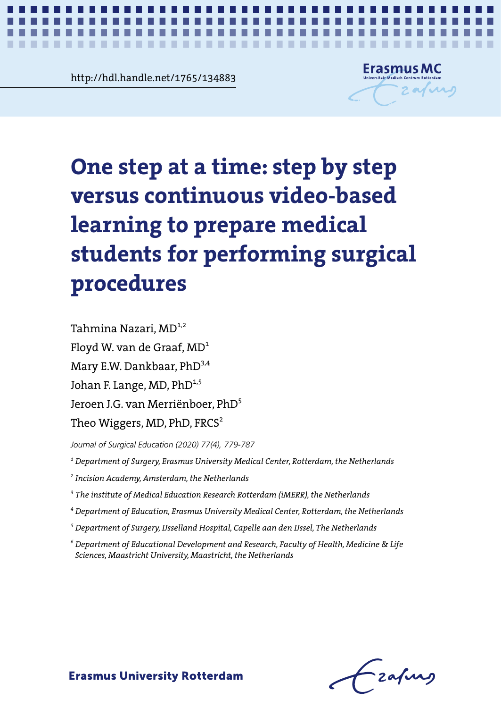<u>Rup://Rahardie.het/1/65/134883</u><br>
Super 5<br>
The Second Second Second Second Second Second Second Second Second Second Second Second Second Second Second Second Second Second Second Second Second Second Second Second Second http://hdl.handle.net/1765/134883



*Step by step versus continuous video-based learning* **1**

# One step at a time: step by step versus **versus continuous video-based**  learning to prepare medical prepare medical students for performing **students for performing surgical**  procedures **One step at a time: step by step**

Mary E.W. Dankbaar, PhD<sup>3,4</sup>  $\frac{1}{2}$ Johan F. Lange, MD, PhD<sup>1,5</sup> Jeroen J.G. van Merriënboer, PhD<sup>5</sup> Theo Wiggers, MD, PhD,  $\texttt{FRCS}^2$  $\frac{1}{2}$ Tahmina Nazari, MD<sup>1,2</sup> Floyd W. van de Graaf, MD1

*Journal of Surgical Education (2020) 77(4), 779-787*

<sup>1</sup> Department of Surgery, Erasmus University Medical Center, Rotterdam, the Netherlands

*2 Incision Academy, Amsterdam, the Netherlands*

<sup>3</sup> The institute of Medical Education Research Rotterdam (iMERR), the Netherlands

2 Incision Academy, Amsterdam, the Netherlands *<sup>4</sup> Department of Education, Erasmus University Medical Center, Rotterdam, the Netherlands*

<sup>5</sup> Department of Surgery, IJsselland Hospital, Capelle aan den IJssel, The Netherlands

<sup>4</sup> Department of Education, Erasmus University Medical Center, Rotterdam, the *<sup>6</sup> Department of Educational Development and Research, Faculty of Health, Medicine & Life*  Netherlands *Sciences, Maastricht University, Maastricht, the Netherlands*

Frafing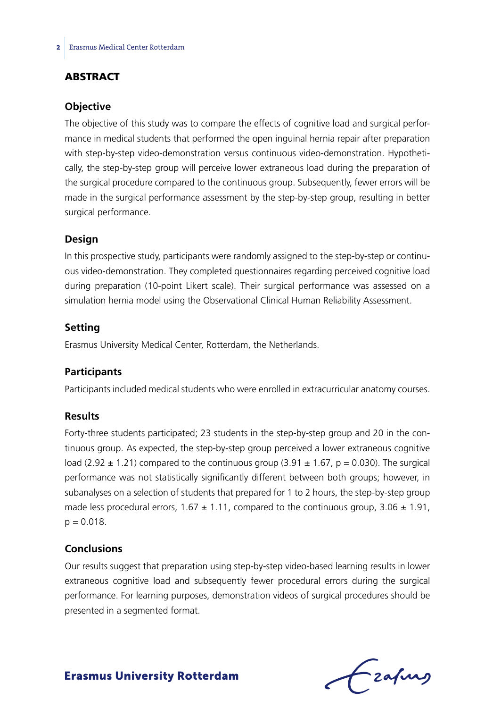# **ABSTRACT**

#### **Objective**

The objective of this study was to compare the effects of cognitive load and surgical performance in medical students that performed the open inguinal hernia repair after preparation with step-by-step video-demonstration versus continuous video-demonstration. Hypothetically, the step-by-step group will perceive lower extraneous load during the preparation of the surgical procedure compared to the continuous group. Subsequently, fewer errors will be made in the surgical performance assessment by the step-by-step group, resulting in better surgical performance.

#### **Design**

In this prospective study, participants were randomly assigned to the step-by-step or continuous video-demonstration. They completed questionnaires regarding perceived cognitive load during preparation (10-point Likert scale). Their surgical performance was assessed on a simulation hernia model using the Observational Clinical Human Reliability Assessment.

#### **Setting**

Erasmus University Medical Center, Rotterdam, the Netherlands.

#### **Participants**

Participants included medical students who were enrolled in extracurricular anatomy courses.

#### **Results**

Forty-three students participated; 23 students in the step-by-step group and 20 in the continuous group. As expected, the step-by-step group perceived a lower extraneous cognitive load (2.92  $\pm$  1.21) compared to the continuous group (3.91  $\pm$  1.67, p = 0.030). The surgical performance was not statistically significantly different between both groups; however, in subanalyses on a selection of students that prepared for 1 to 2 hours, the step-by-step group made less procedural errors,  $1.67 \pm 1.11$ , compared to the continuous group,  $3.06 \pm 1.91$ ,  $p = 0.018$ .

#### **Conclusions**

Our results suggest that preparation using step-by-step video-based learning results in lower extraneous cognitive load and subsequently fewer procedural errors during the surgical performance. For learning purposes, demonstration videos of surgical procedures should be presented in a segmented format.

frafing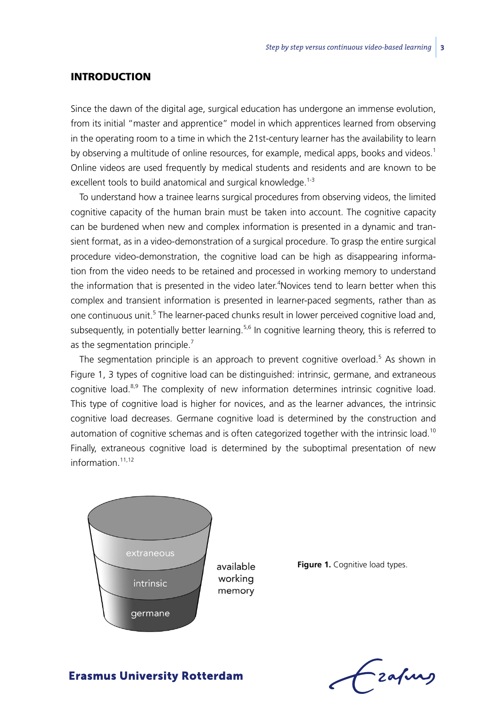### **INTRODUCTION**

Since the dawn of the digital age, surgical education has undergone an immense evolution, from its initial "master and apprentice" model in which apprentices learned from observing in the operating room to a time in which the 21st-century learner has the availability to learn by observing a multitude of online resources, for example, medical apps, books and videos.<sup>1</sup> Online videos are used frequently by medical students and residents and are known to be excellent tools to build anatomical and surgical knowledge.<sup>1-3</sup>

To understand how a trainee learns surgical procedures from observing videos, the limited cognitive capacity of the human brain must be taken into account. The cognitive capacity can be burdened when new and complex information is presented in a dynamic and transient format, as in a video-demonstration of a surgical procedure. To grasp the entire surgical procedure video-demonstration, the cognitive load can be high as disappearing information from the video needs to be retained and processed in working memory to understand the information that is presented in the video later.<sup>4</sup>Novices tend to learn better when this complex and transient information is presented in learner-paced segments, rather than as one continuous unit.<sup>5</sup> The learner-paced chunks result in lower perceived cognitive load and, subsequently, in potentially better learning.<sup>5,6</sup> In cognitive learning theory, this is referred to as the segmentation principle.<sup>7</sup>

The segmentation principle is an approach to prevent cognitive overload.<sup>5</sup> As shown in Figure 1, 3 types of cognitive load can be distinguished: intrinsic, germane, and extraneous cognitive load.<sup>8,9</sup> The complexity of new information determines intrinsic cognitive load. This type of cognitive load is higher for novices, and as the learner advances, the intrinsic cognitive load decreases. Germane cognitive load is determined by the construction and automation of cognitive schemas and is often categorized together with the intrinsic load.<sup>10</sup> Finally, extraneous cognitive load is determined by the suboptimal presentation of new information $11,12$ 



available working memory

**Figure 1.** Cognitive load types.

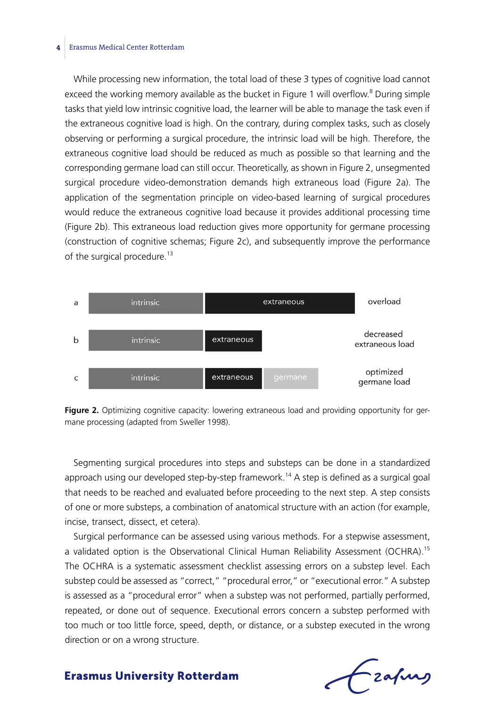#### **4** Erasmus Medical Center Rotterdam

While processing new information, the total load of these 3 types of cognitive load cannot exceed the working memory available as the bucket in Figure 1 will overflow.<sup>8</sup> During simple tasks that yield low intrinsic cognitive load, the learner will be able to manage the task even if the extraneous cognitive load is high. On the contrary, during complex tasks, such as closely observing or performing a surgical procedure, the intrinsic load will be high. Therefore, the extraneous cognitive load should be reduced as much as possible so that learning and the corresponding germane load can still occur. Theoretically, as shown in Figure 2, unsegmented surgical procedure video-demonstration demands high extraneous load (Figure 2a). The application of the segmentation principle on video-based learning of surgical procedures would reduce the extraneous cognitive load because it provides additional processing time (Figure 2b). This extraneous load reduction gives more opportunity for germane processing (construction of cognitive schemas; Figure 2c), and subsequently improve the performance of the surgical procedure.<sup>13</sup>



**Figure 2.** Optimizing cognitive capacity: lowering extraneous load and providing opportunity for germane processing (adapted from Sweller 1998).

Segmenting surgical procedures into steps and substeps can be done in a standardized approach using our developed step-by-step framework.<sup>14</sup> A step is defined as a surgical goal that needs to be reached and evaluated before proceeding to the next step. A step consists of one or more substeps, a combination of anatomical structure with an action (for example, incise, transect, dissect, et cetera).

Surgical performance can be assessed using various methods. For a stepwise assessment, a validated option is the Observational Clinical Human Reliability Assessment (OCHRA).<sup>15</sup> The OCHRA is a systematic assessment checklist assessing errors on a substep level. Each substep could be assessed as "correct," "procedural error," or "executional error." A substep is assessed as a "procedural error" when a substep was not performed, partially performed, repeated, or done out of sequence. Executional errors concern a substep performed with too much or too little force, speed, depth, or distance, or a substep executed in the wrong direction or on a wrong structure.

- zafurs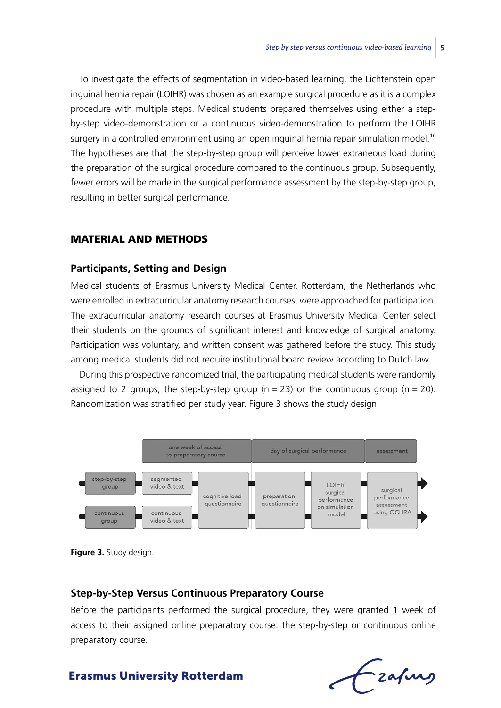To investigate the effects of segmentation in video-based learning, the Lichtenstein open inguinal hernia repair (LOIHR) was chosen as an example surgical procedure as it is a complex procedure with multiple steps. Medical students prepared themselves using either a stepby-step video-demonstration or a continuous video-demonstration to perform the LOIHR surgery in a controlled environment using an open inguinal hernia repair simulation model.<sup>16</sup> The hypotheses are that the step-by-step group will perceive lower extraneous load during the preparation of the surgical procedure compared to the continuous group. Subsequently, fewer errors will be made in the surgical performance assessment by the step-by-step group, resulting in better surgical performance.

#### Material and Methods

#### **Participants, Setting and Design**

Medical students of Erasmus University Medical Center, Rotterdam, the Netherlands who were enrolled in extracurricular anatomy research courses, were approached for participation. The extracurricular anatomy research courses at Erasmus University Medical Center select their students on the grounds of significant interest and knowledge of surgical anatomy. Participation was voluntary, and written consent was gathered before the study. This study among medical students did not require institutional board review according to Dutch law.

During this prospective randomized trial, the participating medical students were randomly assigned to 2 groups; the step-by-step group ( $n = 23$ ) or the continuous group ( $n = 20$ ). Randomization was stratified per study year. Figure 3 shows the study design.





#### **Step-by-Step Versus Continuous Preparatory Course**

Before the participants performed the surgical procedure, they were granted 1 week of access to their assigned online preparatory course: the step-by-step or continuous online preparatory course.

# Lzafurs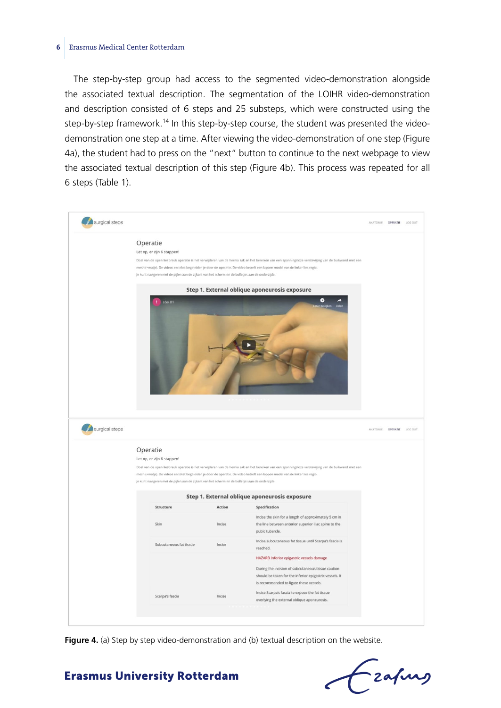#### **6** Erasmus Medical Center Rotterdam

The step-by-step group had access to the segmented video-demonstration alongside the associated textual description. The segmentation of the LOIHR video-demonstration and description consisted of 6 steps and 25 substeps, which were constructed using the step-by-step framework.<sup>14</sup> In this step-by-step course, the student was presented the videodemonstration one step at a time. After viewing the video-demonstration of one step (Figure 4a), the student had to press on the "next" button to continue to the next webpage to view the associated textual description of this step (Figure 4b). This process was repeated for all 6 steps (Table 1).



Figure 4. (a) Step by step video-demonstration and (b) textual description on the website.

# - zafung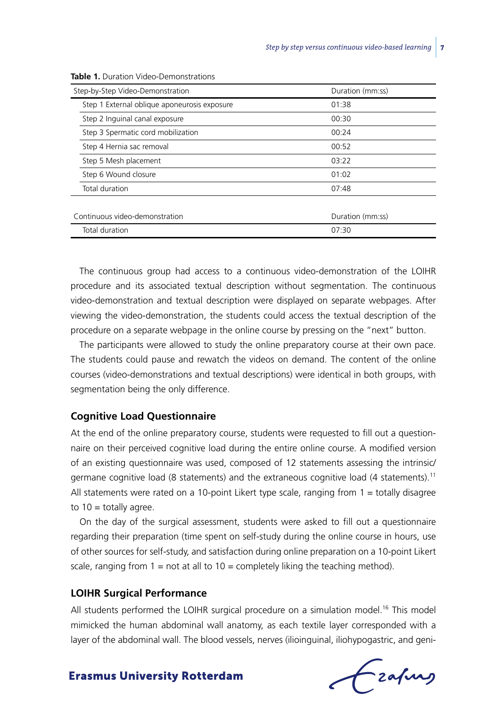| Duration (mm:ss) |
|------------------|
| 01:38            |
| 00:30            |
| 00:24            |
| 00:52            |
| 03:22            |
| 01:02            |
| 07:48            |
|                  |
| Duration (mm:ss) |
| 07:30            |
|                  |

**Table 1.** Duration Video-Demonstrations

The continuous group had access to a continuous video-demonstration of the LOIHR procedure and its associated textual description without segmentation. The continuous video-demonstration and textual description were displayed on separate webpages. After viewing the video-demonstration, the students could access the textual description of the procedure on a separate webpage in the online course by pressing on the "next" button.

The participants were allowed to study the online preparatory course at their own pace. The students could pause and rewatch the videos on demand. The content of the online courses (video-demonstrations and textual descriptions) were identical in both groups, with segmentation being the only difference.

#### **Cognitive Load Questionnaire**

At the end of the online preparatory course, students were requested to fill out a questionnaire on their perceived cognitive load during the entire online course. A modified version of an existing questionnaire was used, composed of 12 statements assessing the intrinsic/ germane cognitive load (8 statements) and the extraneous cognitive load (4 statements).<sup>11</sup> All statements were rated on a 10-point Likert type scale, ranging from  $1 =$  totally disagree to  $10 =$  totally agree.

On the day of the surgical assessment, students were asked to fill out a questionnaire regarding their preparation (time spent on self-study during the online course in hours, use of other sources for self-study, and satisfaction during online preparation on a 10-point Likert scale, ranging from  $1 = \text{not}$  at all to  $10 = \text{completely}$  liking the teaching method).

#### **LOIHR Surgical Performance**

All students performed the LOIHR surgical procedure on a simulation model.<sup>16</sup> This model mimicked the human abdominal wall anatomy, as each textile layer corresponded with a layer of the abdominal wall. The blood vessels, nerves (ilioinguinal, iliohypogastric, and geni-

frafing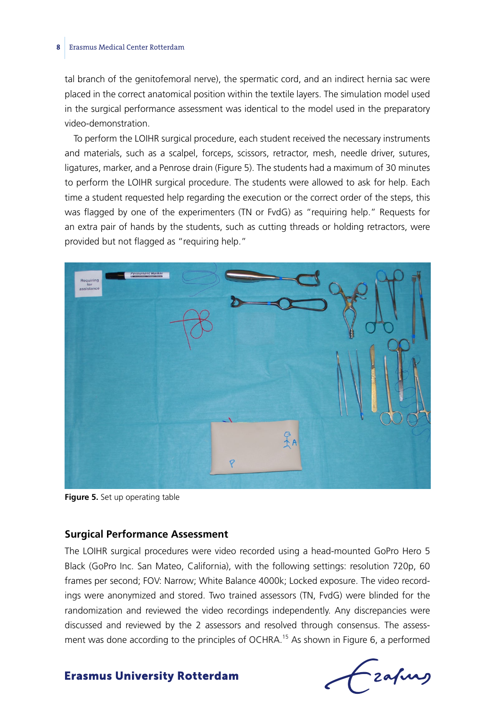#### **8** Erasmus Medical Center Rotterdam

tal branch of the genitofemoral nerve), the spermatic cord, and an indirect hernia sac were placed in the correct anatomical position within the textile layers. The simulation model used in the surgical performance assessment was identical to the model used in the preparatory video-demonstration.

To perform the LOIHR surgical procedure, each student received the necessary instruments and materials, such as a scalpel, forceps, scissors, retractor, mesh, needle driver, sutures, ligatures, marker, and a Penrose drain (Figure 5). The students had a maximum of 30 minutes to perform the LOIHR surgical procedure. The students were allowed to ask for help. Each time a student requested help regarding the execution or the correct order of the steps, this was flagged by one of the experimenters (TN or FvdG) as "requiring help." Requests for an extra pair of hands by the students, such as cutting threads or holding retractors, were provided but not flagged as "requiring help."



**Figure 5.** Set up operating table

#### **Surgical Performance Assessment**

The LOIHR surgical procedures were video recorded using a head-mounted GoPro Hero 5 Black (GoPro Inc. San Mateo, California), with the following settings: resolution 720p, 60 frames per second; FOV: Narrow; White Balance 4000k; Locked exposure. The video recordings were anonymized and stored. Two trained assessors (TN, FvdG) were blinded for the randomization and reviewed the video recordings independently. Any discrepancies were discussed and reviewed by the 2 assessors and resolved through consensus. The assessment was done according to the principles of OCHRA.<sup>15</sup> As shown in Figure 6, a performed

-zafurs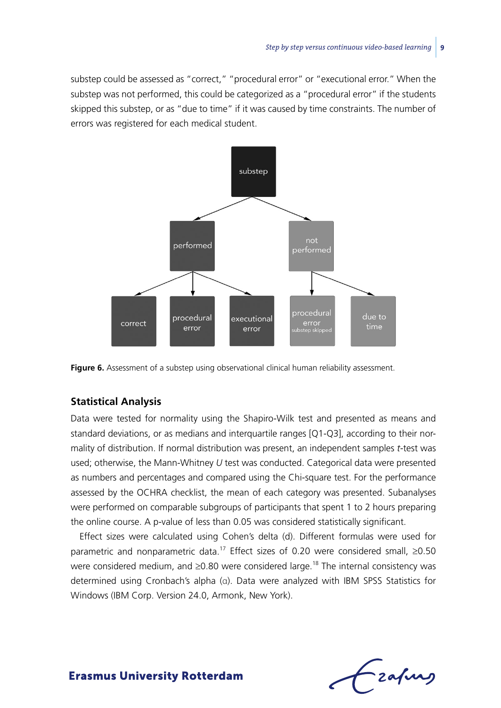substep could be assessed as "correct," "procedural error" or "executional error." When the substep was not performed, this could be categorized as a "procedural error" if the students skipped this substep, or as "due to time" if it was caused by time constraints. The number of errors was registered for each medical student.





#### **Statistical Analysis**

Data were tested for normality using the Shapiro-Wilk test and presented as means and standard deviations, or as medians and interquartile ranges [Q1-Q3], according to their normality of distribution. If normal distribution was present, an independent samples *t*-test was used; otherwise, the Mann-Whitney *U* test was conducted. Categorical data were presented as numbers and percentages and compared using the Chi-square test. For the performance assessed by the OCHRA checklist, the mean of each category was presented. Subanalyses were performed on comparable subgroups of participants that spent 1 to 2 hours preparing the online course. A p*-*value of less than 0.05 was considered statistically significant.

Effect sizes were calculated using Cohen's delta (d). Different formulas were used for parametric and nonparametric data.<sup>17</sup> Effect sizes of 0.20 were considered small, ≥0.50 were considered medium, and ≥0.80 were considered large.<sup>18</sup> The internal consistency was determined using Cronbach's alpha (α). Data were analyzed with IBM SPSS Statistics for Windows (IBM Corp. Version 24.0, Armonk, New York).

-zafurg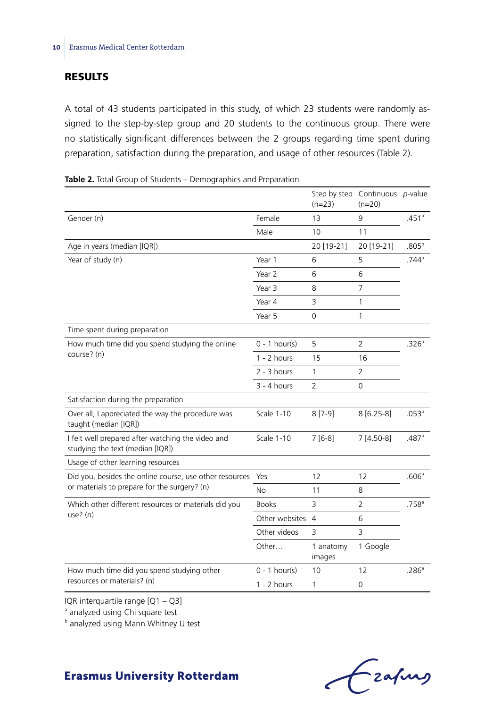#### **RESULTS**

A total of 43 students participated in this study, of which 23 students were randomly assigned to the step-by-step group and 20 students to the continuous group. There were no statistically significant differences between the 2 groups regarding time spent during preparation, satisfaction during the preparation, and usage of other resources (Table 2).

|                                                                                       |                   | $(n=23)$            | Step by step Continuous p-value<br>$(n=20)$ |                   |  |
|---------------------------------------------------------------------------------------|-------------------|---------------------|---------------------------------------------|-------------------|--|
| Gender (n)                                                                            | Female            | 13                  | 9                                           | .451 <sup>a</sup> |  |
|                                                                                       | Male              | 10                  | 11                                          |                   |  |
| Age in years (median [IQR])                                                           |                   | 20 [19-21]          | 20 [19-21]                                  | $.805^{b}$        |  |
| Year of study (n)                                                                     | Year 1            | 6                   | 5                                           | $.744^{\circ}$    |  |
|                                                                                       | Year <sub>2</sub> | 6                   | 6                                           |                   |  |
|                                                                                       | Year 3            | 8                   | $\overline{7}$                              |                   |  |
|                                                                                       | Year 4            | 3                   | 1                                           |                   |  |
|                                                                                       | Year 5            | 0                   | 1                                           |                   |  |
| Time spent during preparation                                                         |                   |                     |                                             |                   |  |
| How much time did you spend studying the online                                       | $0 - 1$ hour(s)   | 5                   | 2                                           | .326 <sup>a</sup> |  |
| course? (n)                                                                           | $1 - 2$ hours     | 15                  | 16                                          |                   |  |
|                                                                                       | $2 - 3$ hours     | 1                   | $\overline{2}$                              |                   |  |
|                                                                                       | $3 - 4$ hours     | $\overline{2}$      | $\Omega$                                    |                   |  |
| Satisfaction during the preparation                                                   |                   |                     |                                             |                   |  |
| Over all, I appreciated the way the procedure was<br>taught (median [IQR])            | Scale 1-10        | $8[7-9]$            | $8[6.25-8]$                                 | .053 <sup>b</sup> |  |
| I felt well prepared after watching the video and<br>studying the text (median [IQR]) | <b>Scale 1-10</b> | $7[6-8]$            | 7 [4.50-8]                                  | .487 <sup>b</sup> |  |
| Usage of other learning resources                                                     |                   |                     |                                             |                   |  |
| Did you, besides the online course, use other resources                               | Yes               | 12                  | 12                                          | .606a             |  |
| or materials to prepare for the surgery? (n)                                          | <b>No</b>         | 11                  | 8                                           |                   |  |
| Which other different resources or materials did you                                  | <b>Books</b>      | 3                   | $\overline{2}$                              | .758 <sup>a</sup> |  |
| $use?$ (n)                                                                            | Other websites    | $\overline{4}$      | 6                                           |                   |  |
|                                                                                       | Other videos      | 3                   | 3                                           |                   |  |
|                                                                                       | Other             | 1 anatomy<br>images | 1 Google                                    |                   |  |
| How much time did you spend studying other                                            | $0 - 1$ hour(s)   | 10                  | 12                                          | .286 <sup>a</sup> |  |
| resources or materials? (n)                                                           | $1 - 2$ hours     | 1                   | 0                                           |                   |  |

|  |  |  |  |  |  | <b>Table 2.</b> Total Group of Students – Demographics and Preparation |  |  |  |  |
|--|--|--|--|--|--|------------------------------------------------------------------------|--|--|--|--|
|--|--|--|--|--|--|------------------------------------------------------------------------|--|--|--|--|

IQR interquartile range [Q1 – Q3]

<sup>a</sup> analyzed using Chi square test

**b** analyzed using Mann Whitney U test

# Frahing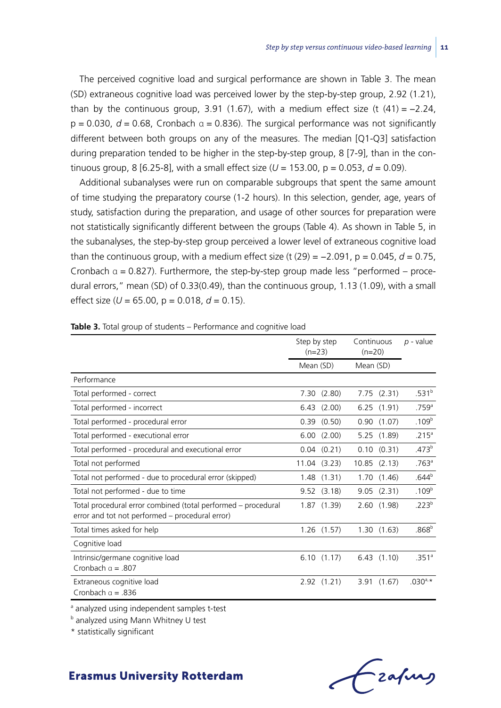The perceived cognitive load and surgical performance are shown in Table 3. The mean (SD) extraneous cognitive load was perceived lower by the step-by-step group, 2.92 (1.21), than by the continuous group, 3.91 (1.67), with a medium effect size (t  $(41) = -2.24$ ,  $p = 0.030$ ,  $d = 0.68$ , Cronbach  $\alpha = 0.836$ ). The surgical performance was not significantly different between both groups on any of the measures. The median [Q1-Q3] satisfaction during preparation tended to be higher in the step-by-step group, 8 [7-9], than in the continuous group, 8 [6.25-8], with a small effect size  $(U = 153.00, p = 0.053, d = 0.09)$ .

Additional subanalyses were run on comparable subgroups that spent the same amount of time studying the preparatory course (1-2 hours). In this selection, gender, age, years of study, satisfaction during the preparation, and usage of other sources for preparation were not statistically significantly different between the groups (Table 4). As shown in Table 5, in the subanalyses, the step-by-step group perceived a lower level of extraneous cognitive load than the continuous group, with a medium effect size (t  $(29) = -2.091$ ,  $p = 0.045$ ,  $d = 0.75$ , Cronbach  $\alpha = 0.827$ ). Furthermore, the step-by-step group made less "performed – procedural errors," mean (SD) of 0.33(0.49), than the continuous group, 1.13 (1.09), with a small effect size ( $U = 65.00$ ,  $p = 0.018$ ,  $d = 0.15$ ).

|                                                                                                                  | Step by step<br>$(n=23)$ | Continuous<br>$(n=20)$ | $p$ - value       |
|------------------------------------------------------------------------------------------------------------------|--------------------------|------------------------|-------------------|
|                                                                                                                  | Mean (SD)                | Mean (SD)              |                   |
| Performance                                                                                                      |                          |                        |                   |
| Total performed - correct                                                                                        | 7.30(2.80)               | 7.75(2.31)             | .531 <sup>b</sup> |
| Total performed - incorrect                                                                                      | $6.43$ $(2.00)$          | 6.25(1.91)             | .759 <sup>a</sup> |
| Total performed - procedural error                                                                               | $0.39$ $(0.50)$          | 0.90(1.07)             | .109 <sup>b</sup> |
| Total performed - executional error                                                                              | 6.00(2.00)               | 5.25 (1.89)            | .215 <sup>a</sup> |
| Total performed - procedural and executional error                                                               | $0.04$ $(0.21)$          | 0.10(0.31)             | .473 <sup>b</sup> |
| Total not performed                                                                                              | $11.04$ $(3.23)$         | $10.85$ $(2.13)$       | .763 <sup>a</sup> |
| Total not performed - due to procedural error (skipped)                                                          | 1.48(1.31)               | 1.70(1.46)             | .644 <sup>b</sup> |
| Total not performed - due to time                                                                                | $9.52$ $(3.18)$          | 9.05(2.31)             | .109 <sup>b</sup> |
| Total procedural error combined (total performed - procedural<br>error and tot not performed - procedural error) | 1.87(1.39)               | 2.60(1.98)             | .223 <sup>b</sup> |
| Total times asked for help                                                                                       | $1.26$ $(1.57)$          | 1.30(1.63)             | .868 <sup>b</sup> |
| Cognitive load                                                                                                   |                          |                        |                   |
| Intrinsic/germane cognitive load<br>Cronbach $a = .807$                                                          | 6.10(1.17)               | 6.43(1.10)             | .351 <sup>a</sup> |
| Extraneous cognitive load<br>Cronbach $a = .836$                                                                 | 2.92(1.21)               | 3.91(1.67)             | $.030^{a,*}$      |

**Table 3.** Total group of students – Performance and cognitive load

<sup>a</sup> analyzed using independent samples t-test

**b** analyzed using Mann Whitney U test

\* statistically significant

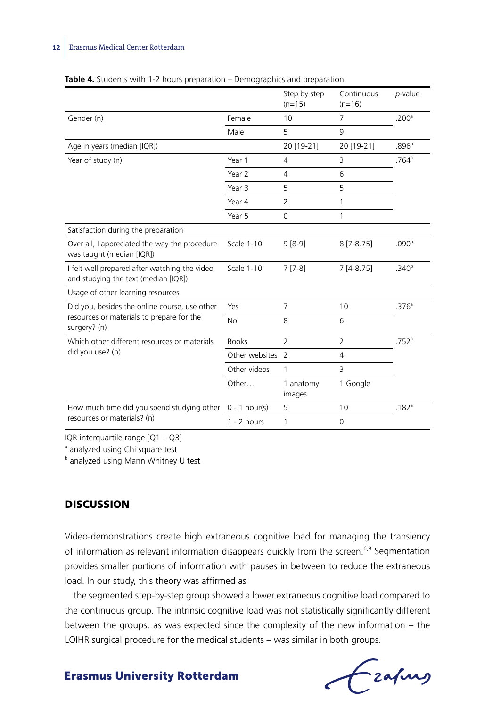|                                                                                       |                   | Step by step<br>$(n=15)$ | Continuous<br>$(n=16)$ | p-value             |
|---------------------------------------------------------------------------------------|-------------------|--------------------------|------------------------|---------------------|
| Gender (n)                                                                            | Female            | 10                       | $\overline{7}$         | .200 <sup>a</sup>   |
|                                                                                       | Male              | 5                        | 9                      |                     |
| Age in years (median [IQR])                                                           |                   | 20 [19-21]               | 20 [19-21]             | .896 <sup>b</sup>   |
| Year of study (n)                                                                     | Year 1            | $\overline{4}$           | 3                      | $.764$ <sup>a</sup> |
|                                                                                       | Year 2            | 4                        | 6                      |                     |
|                                                                                       | Year 3            | 5                        | 5                      |                     |
|                                                                                       | Year 4            | $\overline{2}$           | 1                      |                     |
|                                                                                       | Year 5            | 0                        | 1                      |                     |
| Satisfaction during the preparation                                                   |                   |                          |                        |                     |
| Over all, I appreciated the way the procedure<br>was taught (median [IQR])            | <b>Scale 1-10</b> | $9[8-9]$                 | $8[7-8.75]$            | .090 <sup>b</sup>   |
| I felt well prepared after watching the video<br>and studying the text (median [IQR]) | Scale 1-10        | $7[7-8]$                 | $7[4-8.75]$            | .340 <sup>b</sup>   |
| Usage of other learning resources                                                     |                   |                          |                        |                     |
| Did you, besides the online course, use other                                         | Yes               | $\overline{7}$           | 10                     | .376 <sup>a</sup>   |
| resources or materials to prepare for the<br>surgery? (n)                             | <b>No</b>         | 8                        | 6                      |                     |
| Which other different resources or materials                                          | <b>Books</b>      | $\overline{2}$           | 2                      | .752 <sup>a</sup>   |
| did you use? (n)                                                                      | Other websites    | 2                        | $\overline{4}$         |                     |
|                                                                                       | Other videos      | 1                        | 3                      |                     |
|                                                                                       | Other             | 1 anatomy<br>images      | 1 Google               |                     |
| How much time did you spend studying other                                            | $0 - 1$ hour(s)   | 5                        | 10                     | .182 <sup>a</sup>   |
| resources or materials? (n)                                                           | $1 - 2$ hours     | 1                        | 0                      |                     |

#### **Table 4.** Students with 1-2 hours preparation – Demographics and preparation

IQR interquartile range [Q1 – Q3]

<sup>a</sup> analyzed using Chi square test

**b** analyzed using Mann Whitney U test

#### **DISCUSSION**

Video-demonstrations create high extraneous cognitive load for managing the transiency of information as relevant information disappears quickly from the screen.<sup>6,9</sup> Segmentation provides smaller portions of information with pauses in between to reduce the extraneous load. In our study, this theory was affirmed as

the segmented step-by-step group showed a lower extraneous cognitive load compared to the continuous group. The intrinsic cognitive load was not statistically significantly different between the groups, as was expected since the complexity of the new information – the LOIHR surgical procedure for the medical students – was similar in both groups.

Frahing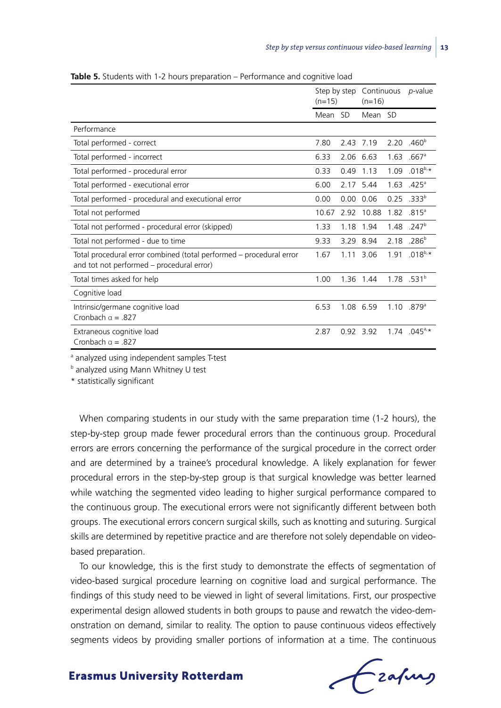|                                                                                                                  | Step by step<br>$(n=15)$ |      | Continuous<br>$(n=16)$ |      | <i>p</i> -value          |
|------------------------------------------------------------------------------------------------------------------|--------------------------|------|------------------------|------|--------------------------|
|                                                                                                                  | Mean                     | -SD  | Mean SD                |      |                          |
| Performance                                                                                                      |                          |      |                        |      |                          |
| Total performed - correct                                                                                        | 7.80                     | 2.43 | 7.19                   | 2.20 | .460 <sup>b</sup>        |
| Total performed - incorrect                                                                                      | 6.33                     |      | 2.06 6.63              | 1.63 | $.667$ <sup>a</sup>      |
| Total performed - procedural error                                                                               | 0.33                     | 0.49 | 1.13                   | 1.09 | $.018^{b,*}$             |
| Total performed - executional error                                                                              | 6.00                     |      | 2.17 5.44              | 1.63 | .425 <sup>a</sup>        |
| Total performed - procedural and executional error                                                               | 0.00                     | 0.00 | 0.06                   | 0.25 | .333 <sup>b</sup>        |
| Total not performed                                                                                              | 10.67                    | 2.92 | 10.88                  | 1.82 | $.815$ <sup>a</sup>      |
| Total not performed - procedural error (skipped)                                                                 | 1.33                     | 1.18 | 1.94                   | 1.48 | .247 <sup>b</sup>        |
| Total not performed - due to time                                                                                | 9.33                     | 3.29 | 8.94                   | 2.18 | .286 <sup>b</sup>        |
| Total procedural error combined (total performed – procedural error<br>and tot not performed – procedural error) | 1.67                     |      | 1.11 3.06              | 1.91 | $.018^{b,*}$             |
| Total times asked for help                                                                                       | 1.00                     | 1.36 | 1.44                   |      | $1.78$ .531 <sup>b</sup> |
| Cognitive load                                                                                                   |                          |      |                        |      |                          |
| Intrinsic/germane cognitive load<br>Cronbach $a = .827$                                                          | 6.53                     |      | 1.08 6.59              |      | $1.10$ .879 <sup>a</sup> |
| Extraneous cognitive load<br>Cronbach $a = .827$                                                                 | 2.87                     |      | 0.92 3.92              | 1.74 | $.045^{a}$               |

**Table 5.** Students with 1-2 hours preparation – Performance and cognitive load

<sup>a</sup> analyzed using independent samples T-test

**b** analyzed using Mann Whitney U test

\* statistically significant

When comparing students in our study with the same preparation time (1-2 hours), the step-by-step group made fewer procedural errors than the continuous group. Procedural errors are errors concerning the performance of the surgical procedure in the correct order and are determined by a trainee's procedural knowledge. A likely explanation for fewer procedural errors in the step-by-step group is that surgical knowledge was better learned while watching the segmented video leading to higher surgical performance compared to the continuous group. The executional errors were not significantly different between both groups. The executional errors concern surgical skills, such as knotting and suturing. Surgical skills are determined by repetitive practice and are therefore not solely dependable on videobased preparation.

To our knowledge, this is the first study to demonstrate the effects of segmentation of video-based surgical procedure learning on cognitive load and surgical performance. The findings of this study need to be viewed in light of several limitations. First, our prospective experimental design allowed students in both groups to pause and rewatch the video-demonstration on demand, similar to reality. The option to pause continuous videos effectively segments videos by providing smaller portions of information at a time. The continuous

Frahing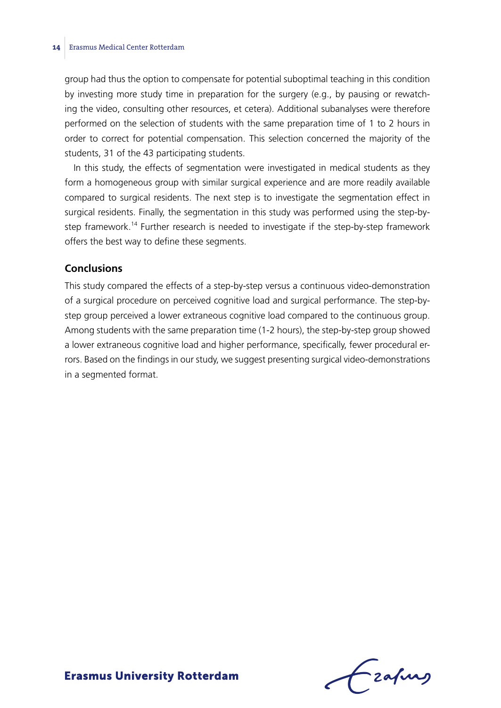group had thus the option to compensate for potential suboptimal teaching in this condition by investing more study time in preparation for the surgery (e.g., by pausing or rewatching the video, consulting other resources, et cetera). Additional subanalyses were therefore performed on the selection of students with the same preparation time of 1 to 2 hours in order to correct for potential compensation. This selection concerned the majority of the students, 31 of the 43 participating students.

In this study, the effects of segmentation were investigated in medical students as they form a homogeneous group with similar surgical experience and are more readily available compared to surgical residents. The next step is to investigate the segmentation effect in surgical residents. Finally, the segmentation in this study was performed using the step-bystep framework.14 Further research is needed to investigate if the step-by-step framework offers the best way to define these segments.

#### **Conclusions**

This study compared the effects of a step-by-step versus a continuous video-demonstration of a surgical procedure on perceived cognitive load and surgical performance. The step-bystep group perceived a lower extraneous cognitive load compared to the continuous group. Among students with the same preparation time (1-2 hours), the step-by-step group showed a lower extraneous cognitive load and higher performance, specifically, fewer procedural errors. Based on the findings in our study, we suggest presenting surgical video-demonstrations in a segmented format.

Lzafurg